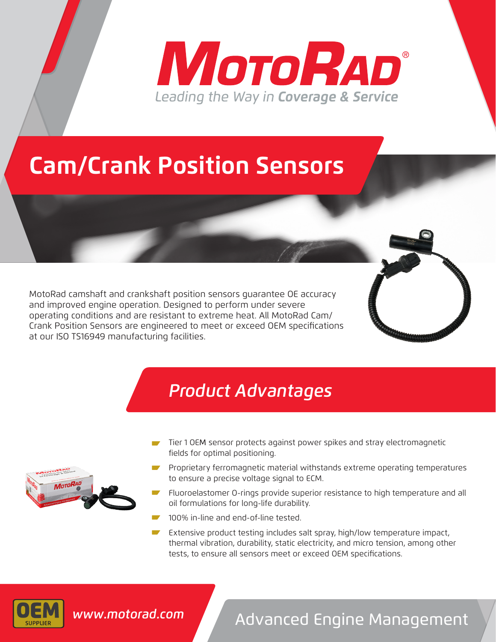# **MOTORAD®** Leading the Way in Coverage & Service

### **Cam/Crank Position Sensors**

MotoRad camshaft and crankshaft position sensors guarantee OE accuracy and improved engine operation. Designed to perform under severe operating conditions and are resistant to extreme heat. All MotoRad Cam/ Crank Position Sensors are engineered to meet or exceed OEM specifications at our ISO TS16949 manufacturing facilities.

#### *Product Advantages*

- Tier 1 OEM sensor protects against power spikes and stray electromagnetic fields for optimal positioning.
- Proprietary ferromagnetic material withstands extreme operating temperatures to ensure a precise voltage signal to ECM.
- Fluoroelastomer O-rings provide superior resistance to high temperature and all oil formulations for long-life durability.
- 100% in-line and end-of-line tested.
- Extensive product testing includes salt spray, high/low temperature impact, thermal vibration, durability, static electricity, and micro tension, among other tests, to ensure all sensors meet or exceed OEM specifications.



### Advanced Engine Management *www.motorad.com*